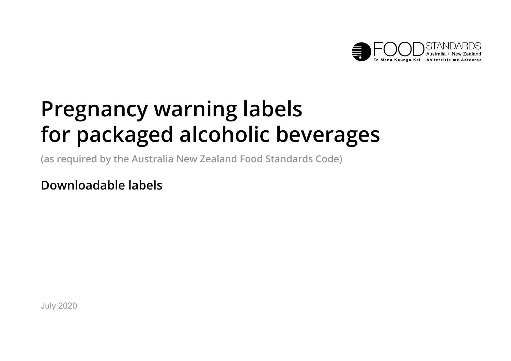

# **Pregnancy warning labels for packaged alcoholic beverages**

**(as required by the Australia New Zealand Food Standards Code)**

**Downloadable labels**

July 2020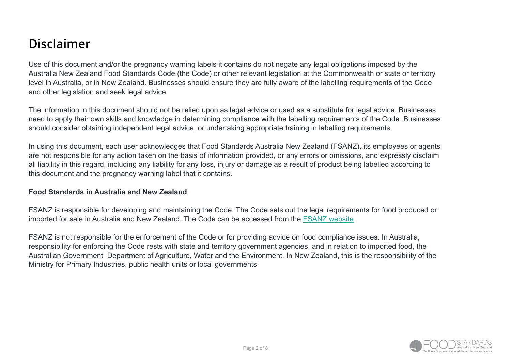## **Disclaimer**

Use of this document and/or the pregnancy warning labels it contains do not negate any legal obligations imposed by the Australia New Zealand Food Standards Code (the Code) or other relevant legislation at the Commonwealth or state or territory level in Australia, or in New Zealand. Businesses should ensure they are fully aware of the labelling requirements of the Code and other legislation and seek legal advice.

The information in this document should not be relied upon as legal advice or used as a substitute for legal advice. Businesses need to apply their own skills and knowledge in determining compliance with the labelling requirements of the Code. Businesses should consider obtaining independent legal advice, or undertaking appropriate training in labelling requirements.

In using this document, each user acknowledges that Food Standards Australia New Zealand (FSANZ), its employees or agents are not responsible for any action taken on the basis of information provided, or any errors or omissions, and expressly disclaim all liability in this regard, including any liability for any loss, injury or damage as a result of product being labelled according to this document and the pregnancy warning label that it contains.

#### **Food Standards in Australia and New Zealand**

FSANZ is responsible for developing and maintaining the Code. The Code sets out the legal requirements for food produced or imported for sale in Australia and New Zealand. The Code can be accessed from the [FSANZ website.](https://www.foodstandards.gov.au/code/Pages/default.aspx)

FSANZ is not responsible for the enforcement of the Code or for providing advice on food compliance issues. In Australia, responsibility for enforcing the Code rests with state and territory government agencies, and in relation to imported food, the Australian Government Department of Agriculture, Water and the Environment. In New Zealand, this is the responsibility of the Ministry for Primary Industries, public health units or local governments.

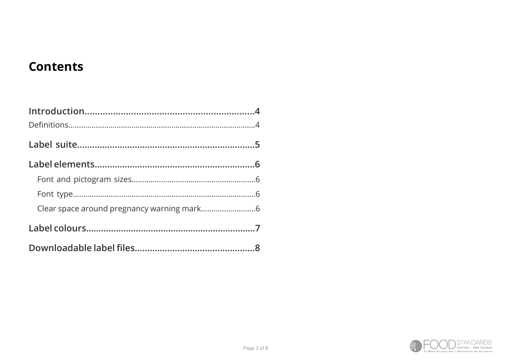## <span id="page-2-0"></span>**Contents**

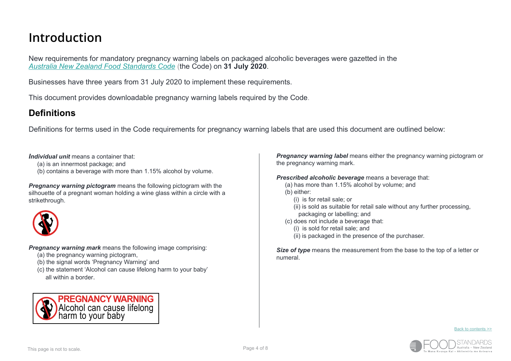## <span id="page-3-0"></span>**Introduction**

New requirements for mandatory pregnancy warning labels on packaged alcoholic beverages were gazetted in the *[Australia New Zealand Food Standards Code](https://www.foodstandards.gov.au/code/Pages/default.aspx)* (the Code) on **31 July 2020**.

Businesses have three years from 31 July 2020 to implement these requirements.

This document provides downloadable pregnancy warning labels required by the Code.

#### <span id="page-3-1"></span>**Definitions**

Definitions for terms used in the Code requirements for pregnancy warning labels that are used this document are outlined below:

*Individual unit* means a container that:

- (a) is an innermost package; and
- (b) contains a beverage with more than 1.15% alcohol by volume.

*Pregnancy warning pictogram* means the following pictogram with the silhouette of a pregnant woman holding a wine glass within a circle with a strikethrough.



*Pregnancy warning mark* means the following image comprising:

- (a) the pregnancy warning pictogram,
- (b) the signal words 'Pregnancy Warning' and
- (c) the statement 'Alcohol can cause lifelong harm to your baby' all within a border.



*Pregnancy warning label* means either the pregnancy warning pictogram or the pregnancy warning mark.

*Prescribed alcoholic beverage* means a beverage that:

- (a) has more than 1.15% alcohol by volume; and
- (b) either:
	- (i) is for retail sale; or
	- $(iii)$  is sold as suitable for retail sale without any further processing. packaging or labelling; and
- (c) does not include a beverage that:
	- (i) is sold for retail sale; and
	- (ii) is packaged in the presence of the purchaser.

*Size of type* means the measurement from the base to the top of a letter or numeral.

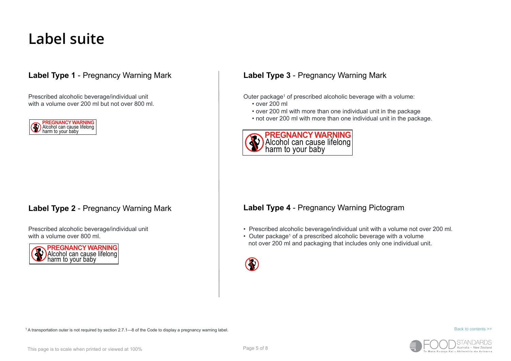## <span id="page-4-0"></span>**Label suite**

#### **Label Type 1** - Pregnancy Warning Mark **Label Type 3** - Pregnancy Warning Mark

Prescribed alcoholic beverage/individual unit with a volume over 200 ml but not over 800 ml.



Prescribed alcoholic beverage/individual unit with a volume over 800 ml.



Outer package<sup>1</sup> of prescribed alcoholic beverage with a volume:

- over 200 ml
- over 200 ml with more than one individual unit in the package
- not over 200 ml with more than one individual unit in the package.



#### **Label Type 2** - Pregnancy Warning Mark **Label Type 4** - Pregnancy Warning Pictogram

- Prescribed alcoholic beverage/individual unit with a volume not over 200 ml.
- Outer package<sup>1</sup> of a prescribed alcoholic beverage with a volume not over 200 ml and packaging that includes only one individual unit.



[Back to contents >>](#page-2-0)



1 A transportation outer is not required by section 2.7.1—8 of the Code to display a pregnancy warning label.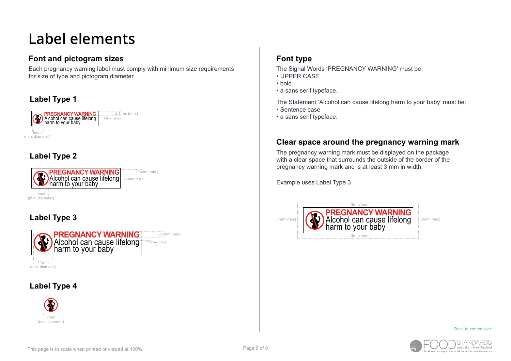## <span id="page-5-0"></span>**Label elements**

#### <span id="page-5-1"></span>**Font and pictogram sizes**

Each pregnancy warning label must comply with minimum size requirements for size of type and pictogram diameter.

#### **Label Type 1**



#### **Label Type 2**



#### **Label Type 3**



 $\frac{1}{2}$  11mm (min. diameter)

#### **Label Type 4**



#### <span id="page-5-2"></span>**Font type**

The Signal Words 'PREGNANCY WARNING' must be:

- UPPER CASE
- bold
- a sans serif typeface.

The Statement 'Alcohol can cause lifelong harm to your baby' must be:

- Sentence case
- a sans serif typeface.

#### <span id="page-5-3"></span>**Clear space around the pregnancy warning mark**

The pregnancy warning mark must be displayed on the package with a clear space that surrounds the outside of the border of the pregnancy warning mark and is at least 3 mm in width.

Example uses Label Type 3.



[Back to contents >>](#page-2-0)

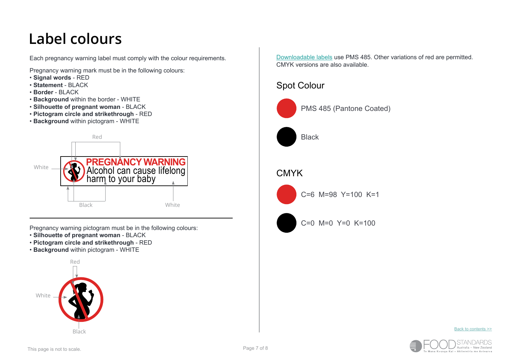## <span id="page-6-0"></span>**Label colours**

Each pregnancy warning label must comply with the colour requirements.

Pregnancy warning mark must be in the following colours:

- **Signal words** RED
- **Statement** BLACK
- **Border** BLACK
- **Background** within the border WHITE
- **Silhouette of pregnant woman** BLACK
- **Pictogram circle and strikethrough** RED
- **Background** within pictogram WHITE



Pregnancy warning pictogram must be in the following colours:

- **Silhouette of pregnant woman** BLACK
- **Pictogram circle and strikethrough** RED
- **Background** within pictogram WHITE



[Downloadable labels](#page-7-0) use PMS 485. Other variations of red are permitted. CMYK versions are also available.

### Spot Colour



PMS 485 (Pantone Coated)



### **CMYK**



C=6 M=98 Y=100 K=1



 $C=0$  M=0 Y=0 K=100